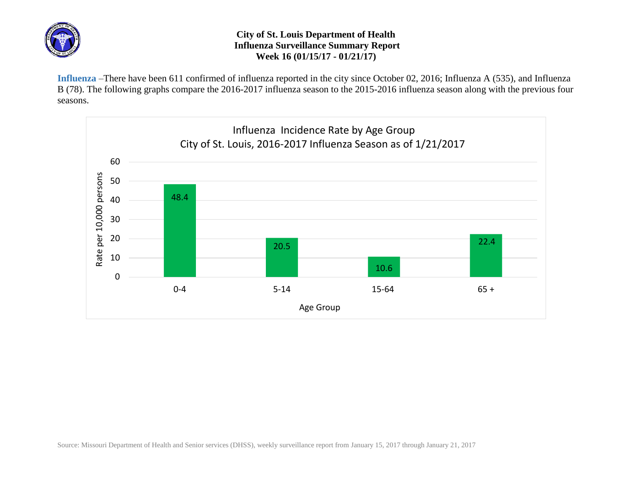

## **City of St. Louis Department of Health Influenza Surveillance Summary Report Week 16 (01/15/17 - 01/21/17)**

**Influenza** –There have been 611 confirmed of influenza reported in the city since October 02, 2016; Influenza A (535), and Influenza B (78). The following graphs compare the 2016-2017 influenza season to the 2015-2016 influenza season along with the previous four seasons.